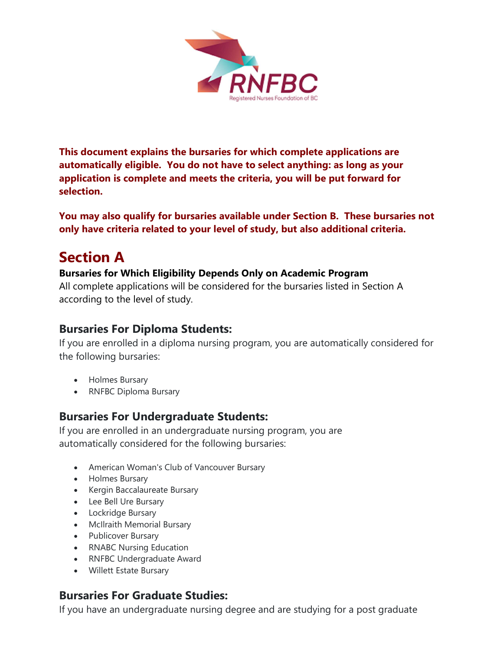

This document explains the bursaries for which complete applications are automatically eligible. You do not have to select anything: as long as your application is complete and meets the criteria, you will be put forward for selection.

You may also qualify for bursaries available under Section B. These bursaries not only have criteria related to your level of study, but also additional criteria.

# Section A

#### Bursaries for Which Eligibility Depends Only on Academic Program

All complete applications will be considered for the bursaries listed in Section A according to the level of study.

#### Bursaries For Diploma Students:

If you are enrolled in a diploma nursing program, you are automatically considered for the following bursaries:

- Holmes Bursary
- RNFBC Diploma Bursary

#### Bursaries For Undergraduate Students:

If you are enrolled in an undergraduate nursing program, you are automatically considered for the following bursaries:

- American Woman's Club of Vancouver Bursary
- Holmes Bursary
- Kergin Baccalaureate Bursary
- Lee Bell Ure Bursary
- Lockridge Bursary
- McIlraith Memorial Bursary
- Publicover Bursary
- RNABC Nursing Education
- RNFBC Undergraduate Award
- Willett Estate Bursary

## Bursaries For Graduate Studies:

If you have an undergraduate nursing degree and are studying for a post graduate